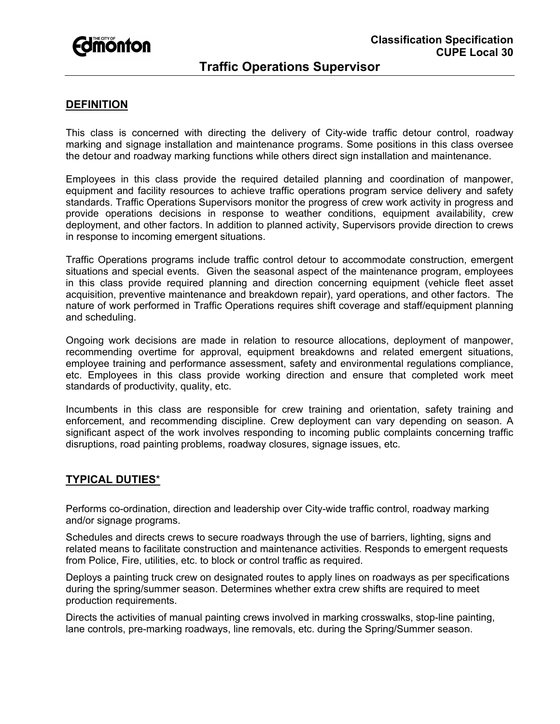

# **Traffic Operations Supervisor**

### **DEFINITION**

This class is concerned with directing the delivery of City-wide traffic detour control, roadway marking and signage installation and maintenance programs. Some positions in this class oversee the detour and roadway marking functions while others direct sign installation and maintenance.

Employees in this class provide the required detailed planning and coordination of manpower, equipment and facility resources to achieve traffic operations program service delivery and safety standards. Traffic Operations Supervisors monitor the progress of crew work activity in progress and provide operations decisions in response to weather conditions, equipment availability, crew deployment, and other factors. In addition to planned activity, Supervisors provide direction to crews in response to incoming emergent situations.

Traffic Operations programs include traffic control detour to accommodate construction, emergent situations and special events. Given the seasonal aspect of the maintenance program, employees in this class provide required planning and direction concerning equipment (vehicle fleet asset acquisition, preventive maintenance and breakdown repair), yard operations, and other factors. The nature of work performed in Traffic Operations requires shift coverage and staff/equipment planning and scheduling.

Ongoing work decisions are made in relation to resource allocations, deployment of manpower, recommending overtime for approval, equipment breakdowns and related emergent situations, employee training and performance assessment, safety and environmental regulations compliance, etc. Employees in this class provide working direction and ensure that completed work meet standards of productivity, quality, etc.

Incumbents in this class are responsible for crew training and orientation, safety training and enforcement, and recommending discipline. Crew deployment can vary depending on season. A significant aspect of the work involves responding to incoming public complaints concerning traffic disruptions, road painting problems, roadway closures, signage issues, etc.

#### **TYPICAL DUTIES**\*

Performs co-ordination, direction and leadership over City-wide traffic control, roadway marking and/or signage programs.

Schedules and directs crews to secure roadways through the use of barriers, lighting, signs and related means to facilitate construction and maintenance activities. Responds to emergent requests from Police, Fire, utilities, etc. to block or control traffic as required.

Deploys a painting truck crew on designated routes to apply lines on roadways as per specifications during the spring/summer season. Determines whether extra crew shifts are required to meet production requirements.

Directs the activities of manual painting crews involved in marking crosswalks, stop-line painting, lane controls, pre-marking roadways, line removals, etc. during the Spring/Summer season.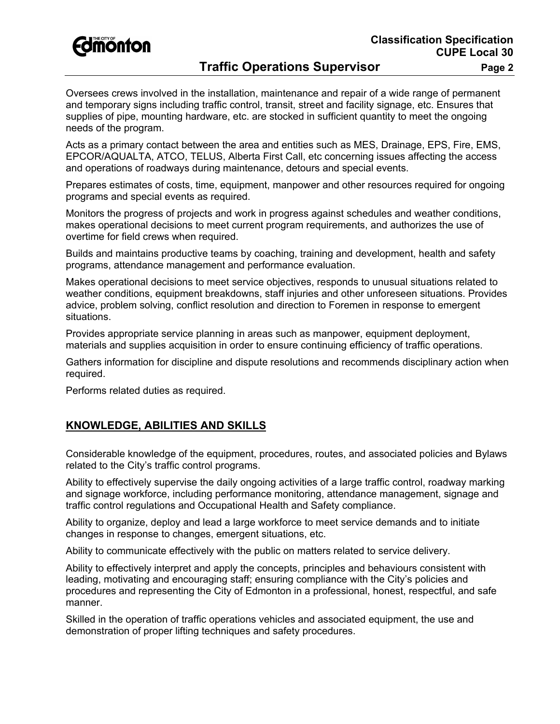

# **Traffic Operations Supervisor Fage 2**

Oversees crews involved in the installation, maintenance and repair of a wide range of permanent and temporary signs including traffic control, transit, street and facility signage, etc. Ensures that supplies of pipe, mounting hardware, etc. are stocked in sufficient quantity to meet the ongoing needs of the program.

Acts as a primary contact between the area and entities such as MES, Drainage, EPS, Fire, EMS, EPCOR/AQUALTA, ATCO, TELUS, Alberta First Call, etc concerning issues affecting the access and operations of roadways during maintenance, detours and special events.

Prepares estimates of costs, time, equipment, manpower and other resources required for ongoing programs and special events as required.

Monitors the progress of projects and work in progress against schedules and weather conditions, makes operational decisions to meet current program requirements, and authorizes the use of overtime for field crews when required.

Builds and maintains productive teams by coaching, training and development, health and safety programs, attendance management and performance evaluation.

Makes operational decisions to meet service objectives, responds to unusual situations related to weather conditions, equipment breakdowns, staff injuries and other unforeseen situations. Provides advice, problem solving, conflict resolution and direction to Foremen in response to emergent situations.

Provides appropriate service planning in areas such as manpower, equipment deployment, materials and supplies acquisition in order to ensure continuing efficiency of traffic operations.

Gathers information for discipline and dispute resolutions and recommends disciplinary action when required.

Performs related duties as required.

## **KNOWLEDGE, ABILITIES AND SKILLS**

Considerable knowledge of the equipment, procedures, routes, and associated policies and Bylaws related to the City's traffic control programs.

Ability to effectively supervise the daily ongoing activities of a large traffic control, roadway marking and signage workforce, including performance monitoring, attendance management, signage and traffic control regulations and Occupational Health and Safety compliance.

Ability to organize, deploy and lead a large workforce to meet service demands and to initiate changes in response to changes, emergent situations, etc.

Ability to communicate effectively with the public on matters related to service delivery.

Ability to effectively interpret and apply the concepts, principles and behaviours consistent with leading, motivating and encouraging staff; ensuring compliance with the City's policies and procedures and representing the City of Edmonton in a professional, honest, respectful, and safe manner.

Skilled in the operation of traffic operations vehicles and associated equipment, the use and demonstration of proper lifting techniques and safety procedures.